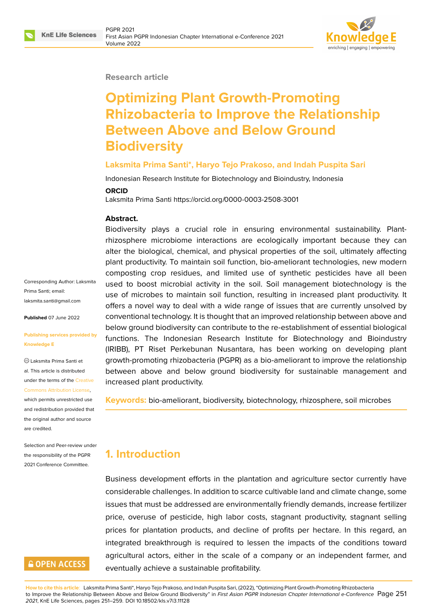

#### **Research article**

# **Optimizing Plant Growth-Promoting Rhizobacteria to Improve the Relationship Between Above and Below Ground Biodiversity**

#### **Laksmita Prima Santi\*, Haryo Tejo Prakoso, and Indah Puspita Sari**

Indonesian Research Institute for Biotechnology and Bioindustry, Indonesia

#### **ORCID**

Laksmita Prima Santi https://orcid.org/0000-0003-2508-3001

#### **Abstract.**

Biodiversity plays a crucial role in ensuring environmental sustainability. Plantrhizosphere microbiome interactions are ecologically important because they can alter the biological, chemical, and physical properties of the soil, ultimately affecting plant productivity. To maintain soil function, bio-ameliorant technologies, new modern composting crop residues, and limited use of synthetic pesticides have all been used to boost microbial activity in the soil. Soil management biotechnology is the use of microbes to maintain soil function, resulting in increased plant productivity. It offers a novel way to deal with a wide range of issues that are currently unsolved by conventional technology. It is thought that an improved relationship between above and below ground biodiversity can contribute to the re-establishment of essential biological functions. The Indonesian Research Institute for Biotechnology and Bioindustry (IRIBB), PT Riset Perkebunan Nusantara, has been working on developing plant growth-promoting rhizobacteria (PGPR) as a bio-ameliorant to improve the relationship between above and below ground biodiversity for sustainable management and increased plant productivity.

**Keywords:** bio-ameliorant, biodiversity, biotechnology, rhizosphere, soil microbes

# **1. Introduction**

Business development efforts in the plantation and agriculture sector currently have considerable challenges. In addition to scarce cultivable land and climate change, some issues that must be addressed are environmentally friendly demands, increase fertilizer price, overuse of pesticide, high labor costs, stagnant productivity, stagnant selling prices for plantation products, and decline of profits per hectare. In this regard, an integrated breakthrough is required to lessen the impacts of the conditions toward agricultural actors, either in the scale of a company or an independent farmer, and eventually achieve a sustainable profitability.

**How to cite this article**: Laksmita Prima Santi\*, Haryo Tejo Prakoso, and Indah Puspita Sari, (2022), "Optimizing Plant Growth-Promoting Rhizobacteria to Improve the Relationship Between Above and Below Ground Biodiversity" in *First Asian PGPR Indonesian Chapter International e-Conference* Page 251 *2021*, KnE Life Sciences, pages 251–259. DOI 10.18502/kls.v7i3.11128

Corresponding Author: Laksmita Prima Santi; email: laksmita.santi@gmail.com

**Published** 07 June 2022

#### **[Publishing services provi](mailto:laksmita.santi@gmail.com)ded by Knowledge E**

Laksmita Prima Santi et al. This article is distributed under the terms of the Creative Commons Attribution License,

which permits unrestricted use and redistribution provided that the original author and [source](https://creativecommons.org/licenses/by/4.0/) [are credited.](https://creativecommons.org/licenses/by/4.0/)

Selection and Peer-review under the responsibility of the PGPR 2021 Conference Committee.

## **GOPEN ACCESS**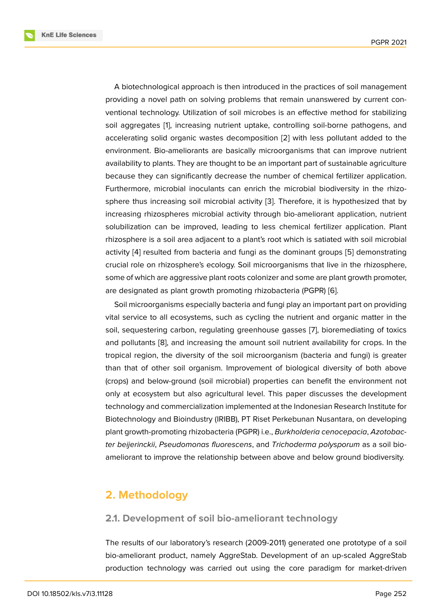A biotechnological approach is then introduced in the practices of soil management providing a novel path on solving problems that remain unanswered by current conventional technology. Utilization of soil microbes is an effective method for stabilizing soil aggregates [1], increasing nutrient uptake, controlling soil-borne pathogens, and accelerating solid organic wastes decomposition [2] with less pollutant added to the environment. Bio-ameliorants are basically microorganisms that can improve nutrient availability to pla[nt](#page-7-0)s. They are thought to be an important part of sustainable agriculture because they can significantly decrease the num[be](#page-7-1)r of chemical fertilizer application. Furthermore, microbial inoculants can enrich the microbial biodiversity in the rhizosphere thus increasing soil microbial activity [3]. Therefore, it is hypothesized that by increasing rhizospheres microbial activity through bio-ameliorant application, nutrient solubilization can be improved, leading to less chemical fertilizer application. Plant rhizosphere is a soil area adjacent to a plant's [ro](#page-7-2)ot which is satiated with soil microbial activity [4] resulted from bacteria and fungi as the dominant groups [5] demonstrating crucial role on rhizosphere's ecology. Soil microorganisms that live in the rhizosphere, some of which are aggressive plant roots colonizer and some are plant growth promoter, are desi[gn](#page-7-3)ated as plant growth promoting rhizobacteria (PGPR) [6].

Soil microorganisms especially bacteria and fungi play an important part on providing vital service to all ecosystems, such as cycling the nutrient and organic matter in the soil, sequestering carbon, regulating greenhouse gasses [7], bi[or](#page-8-0)emediating of toxics and pollutants [8], and increasing the amount soil nutrient availability for crops. In the tropical region, the diversity of the soil microorganism (bacteria and fungi) is greater than that of other soil organism. Improvement of biologi[ca](#page-8-1)l diversity of both above (crops) and bel[ow](#page-8-2)-ground (soil microbial) properties can benefit the environment not only at ecosystem but also agricultural level. This paper discusses the development technology and commercialization implemented at the Indonesian Research Institute for Biotechnology and Bioindustry (IRIBB), PT Riset Perkebunan Nusantara, on developing plant growth-promoting rhizobacteria (PGPR) i.e., *Burkholderia cenocepacia*, *Azotobacter beijerinckii*, *Pseudomonas fluorescens*, and *Trichoderma polysporum* as a soil bioameliorant to improve the relationship between above and below ground biodiversity.

### **2. Methodology**

#### **2.1. Development of soil bio-ameliorant technology**

The results of our laboratory's research (2009-2011) generated one prototype of a soil bio-ameliorant product, namely AggreStab. Development of an up-scaled AggreStab production technology was carried out using the core paradigm for market-driven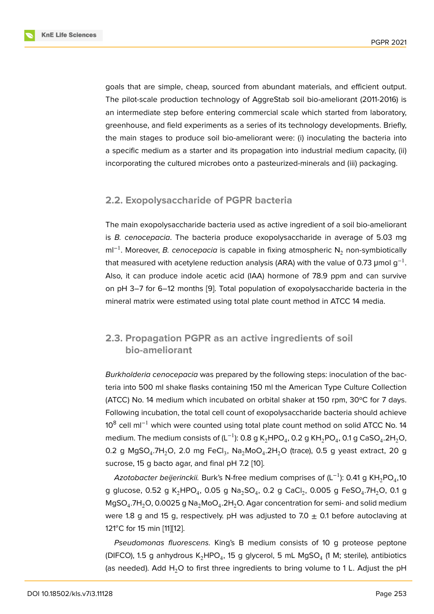goals that are simple, cheap, sourced from abundant materials, and efficient output. The pilot-scale production technology of AggreStab soil bio-ameliorant (2011-2016) is an intermediate step before entering commercial scale which started from laboratory, greenhouse, and field experiments as a series of its technology developments. Briefly, the main stages to produce soil bio-ameliorant were: (i) inoculating the bacteria into a specific medium as a starter and its propagation into industrial medium capacity, (ii) incorporating the cultured microbes onto a pasteurized-minerals and (iii) packaging.

### **2.2. Exopolysaccharide of PGPR bacteria**

The main exopolysaccharide bacteria used as active ingredient of a soil bio-ameliorant is *B. cenocepacia*. The bacteria produce exopolysaccharide in average of 5.03 mg ml<sup>-1</sup>. Moreover, *B. cenocepacia* is capable in fixing atmospheric N<sub>2</sub> non-symbiotically that measured with acetylene reduction analysis (ARA) with the value of 0.73 µmol g $^{\rm -1}.$ Also, it can produce indole acetic acid (IAA) hormone of 78.9 ppm and can survive on pH 3–7 for 6–12 months [9]. Total population of exopolysaccharide bacteria in the mineral matrix were estimated using total plate count method in ATCC 14 media.

## **2.3. Propagation PGPR as an active ingredients of soil bio-ameliorant**

*Burkholderia cenocepacia* was prepared by the following steps: inoculation of the bacteria into 500 ml shake flasks containing 150 ml the American Type Culture Collection (ATCC) No. 14 medium which incubated on orbital shaker at 150 rpm, 30ºC for 7 days. Following incubation, the total cell count of exopolysaccharide bacteria should achieve 10<sup>8</sup> cell ml<sup>-1</sup> which were counted using total plate count method on solid ATCC No. 14 medium. The medium consists of (L $^{-1}$ ): 0.8 g K $_{2}$ HPO $_{4}$ , 0.2 g KH $_{2}$ PO $_{4}$ , 0.1 g CaSO $_{4}$ .2H $_{2}$ O, 0.2 g MgSO $_{\rm 4}$ .7H $_{\rm 2}$ O, 2.0 mg FeCl $_{\rm 3}$ , Na $_{\rm 2}$ MoO $_{\rm 4}$ .2H $_{\rm 2}$ O (trace), 0.5 g yeast extract, 20 g sucrose, 15 g bacto agar, and final pH 7.2 [10].

*Azotobacter beijerinckii.* Burk's N-free medium comprises of (L<sup>−1</sup>): 0.41 g KH<sub>2</sub>PO<sub>4</sub>,10 g glucose, 0.52 g K $_{\rm 2}$ HPO $_{\rm 4}$ , 0.05 g Na $_{\rm 2}$ SO $_{\rm 4}$ , 0.2 g CaCl $_{\rm 2}$ , 0.005 g FeSO $_{\rm 4}$ .7H $_{\rm 2}$ O, 0.1 g MgSO $_4$ .7H $_2$ O, 0.0025 g Na $_2$ MoO $_4$ .2H $_2$ O. A[gar](#page-8-3) concentration for semi- and solid medium were 1.8 g and 15 g, respectively. pH was adjusted to 7.0  $\pm$  0.1 before autoclaving at 121<sup>°</sup>C for 15 min [11][12].

*Pseudomonas fluorescens.* King's B medium consists of 10 g proteose peptone (DIFCO), 1.5 g anhydrous K $_2$ HPO $_4$ , 15 g glycerol, 5 mL MgSO $_4$  (1 M; sterile), antibiotics (as needed). Add  $H_2O$  $H_2O$  to first three ingredients to bring volume to 1 L. Adjust the pH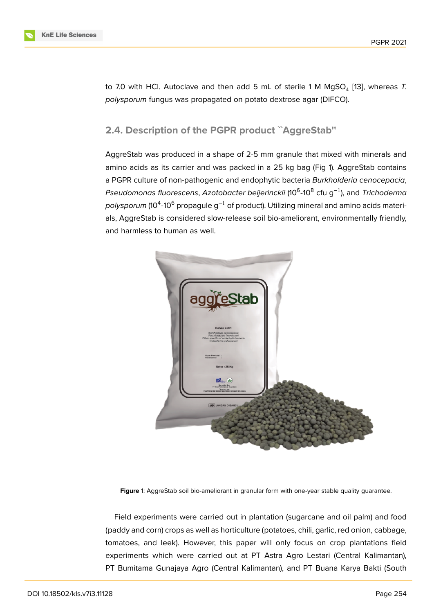to 7.0 with HCl. Autoclave and then add 5 mL of sterile 1 M MgSO<sub>4</sub> [13], whereas *T*. *polysporum* fungus was propagated on potato dextrose agar (DIFCO).

#### **2.4. Description of the PGPR product ``AggreStab''**

AggreStab was produced in a shape of 2-5 mm granule that mixed with minerals and amino acids as its carrier and was packed in a 25 kg bag (Fig 1). AggreStab contains a PGPR culture of non-pathogenic and endophytic bacteria *Burkholderia cenocepacia*, *Pseudomonas fluorescens*, *Azotobacter beijerinckii* (10<sup>6</sup> -10<sup>8</sup> cfu g−1), and *Trichoderma polysporum* (10<sup>4</sup>-10<sup>6</sup> propagule g<sup>−1</sup> of product). Utilizing mineral and amino acids materials, AggreStab is considered slow-release soil bio-ameliorant, environmentally friendly, and harmless to human as well.



**Figure** 1: AggreStab soil bio-ameliorant in granular form with one-year stable quality guarantee.

Field experiments were carried out in plantation (sugarcane and oil palm) and food (paddy and corn) crops as well as horticulture (potatoes, chili, garlic, red onion, cabbage, tomatoes, and leek). However, this paper will only focus on crop plantations field experiments which were carried out at PT Astra Agro Lestari (Central Kalimantan), PT Bumitama Gunajaya Agro (Central Kalimantan), and PT Buana Karya Bakti (South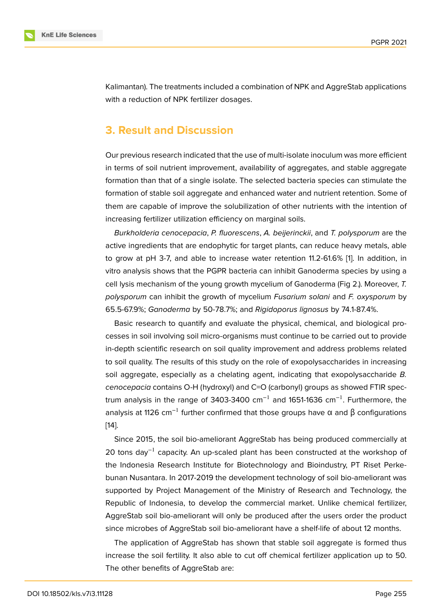Kalimantan). The treatments included a combination of NPK and AggreStab applications with a reduction of NPK fertilizer dosages.

### **3. Result and Discussion**

Our previous research indicated that the use of multi-isolate inoculum was more efficient in terms of soil nutrient improvement, availability of aggregates, and stable aggregate formation than that of a single isolate. The selected bacteria species can stimulate the formation of stable soil aggregate and enhanced water and nutrient retention. Some of them are capable of improve the solubilization of other nutrients with the intention of increasing fertilizer utilization efficiency on marginal soils.

*Burkholderia cenocepacia*, *P. fluorescens*, *A. beijerinckii*, and *T. polysporum* are the active ingredients that are endophytic for target plants, can reduce heavy metals, able to grow at pH 3-7, and able to increase water retention 11.2-61.6% [1]. In addition, in vitro analysis shows that the PGPR bacteria can inhibit Ganoderma species by using a cell lysis mechanism of the young growth mycelium of Ganoderma (Fig 2.). Moreover, *T. polysporum* can inhibit the growth of mycelium *Fusarium solani* and *[F](#page-7-0). oxysporum* by 65.5-67.9%; *Ganoderma* by 50-78.7%; and *Rigidoporus lignosus* by 74.1-87.4%.

Basic research to quantify and evaluate the physical, chemical, and biological processes in soil involving soil micro-organisms must continue to be carried out to provide in-depth scientific research on soil quality improvement and address problems related to soil quality. The results of this study on the role of exopolysaccharides in increasing soil aggregate, especially as a chelating agent, indicating that exopolysaccharide *B. cenocepacia* contains O-H (hydroxyl) and C=O (carbonyl) groups as showed FTIR spectrum analysis in the range of 3403-3400  $cm^{-1}$  and 1651-1636  $cm^{-1}$ . Furthermore, the analysis at 1126 cm<sup>-1</sup> further confirmed that those groups have  $\alpha$  and  $\beta$  configurations [14].

Since 2015, the soil bio-ameliorant AggreStab has being produced commercially at 20 tons day<sup>-1</sup> capacity. An up-scaled plant has been constructed at the workshop of [the](#page-8-6) Indonesia Research Institute for Biotechnology and Bioindustry, PT Riset Perkebunan Nusantara. In 2017-2019 the development technology of soil bio-ameliorant was supported by Project Management of the Ministry of Research and Technology, the Republic of Indonesia, to develop the commercial market. Unlike chemical fertilizer, AggreStab soil bio-ameliorant will only be produced after the users order the product since microbes of AggreStab soil bio-ameliorant have a shelf-life of about 12 months.

The application of AggreStab has shown that stable soil aggregate is formed thus increase the soil fertility. It also able to cut off chemical fertilizer application up to 50. The other benefits of AggreStab are: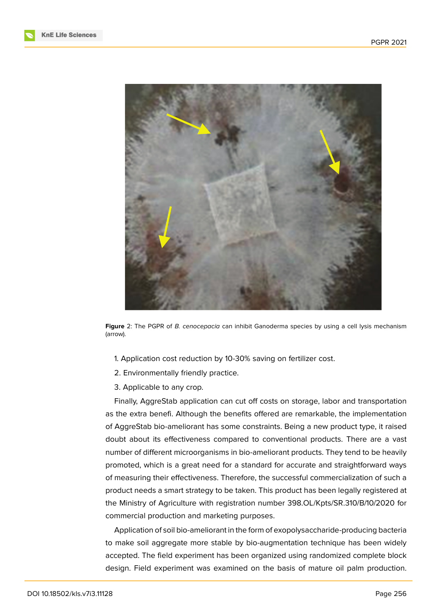



**Figure** 2: The PGPR of *B. cenocepacia* can inhibit Ganoderma species by using a cell lysis mechanism (arrow).

- 1. Application cost reduction by 10-30% saving on fertilizer cost.
- 2. Environmentally friendly practice.
- 3. Applicable to any crop.

Finally, AggreStab application can cut off costs on storage, labor and transportation as the extra benefi. Although the benefits offered are remarkable, the implementation of AggreStab bio-ameliorant has some constraints. Being a new product type, it raised doubt about its effectiveness compared to conventional products. There are a vast number of different microorganisms in bio-ameliorant products. They tend to be heavily promoted, which is a great need for a standard for accurate and straightforward ways of measuring their effectiveness. Therefore, the successful commercialization of such a product needs a smart strategy to be taken. This product has been legally registered at the Ministry of Agriculture with registration number 398.OL/Kpts/SR.310/B/10/2020 for commercial production and marketing purposes.

Application of soil bio-ameliorant in the form of exopolysaccharide-producing bacteria to make soil aggregate more stable by bio-augmentation technique has been widely accepted. The field experiment has been organized using randomized complete block design. Field experiment was examined on the basis of mature oil palm production.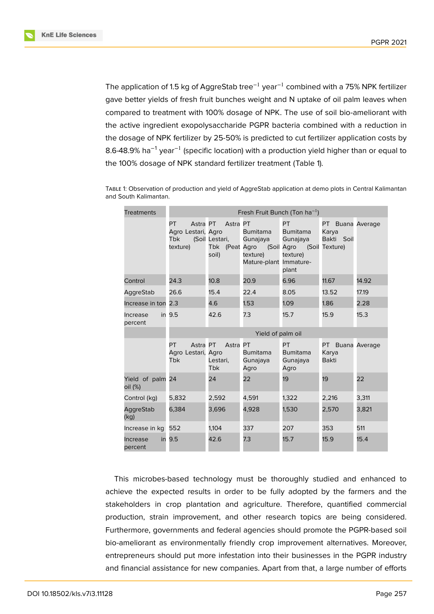**KnE Life Sciences** 

The application of 1.5 kg of AggreStab tree<sup>-1</sup> year<sup>-1</sup> combined with a 75% NPK fertilizer gave better yields of fresh fruit bunches weight and N uptake of oil palm leaves when compared to treatment with 100% dosage of NPK. The use of soil bio-ameliorant with the active ingredient exopolysaccharide PGPR bacteria combined with a reduction in the dosage of NPK fertilizer by 25-50% is predicted to cut fertilizer application costs by 8.6-48.9% ha<sup>-1</sup> year<sup>-1</sup> (specific location) with a production yield higher than or equal to the 100% dosage of NPK standard fertilizer treatment (Table 1).

| <b>Treatments</b>           | Fresh Fruit Bunch (Ton ha <sup>-1</sup> )                       |                                                       |                                                                   |                                                                                      |                                           |       |
|-----------------------------|-----------------------------------------------------------------|-------------------------------------------------------|-------------------------------------------------------------------|--------------------------------------------------------------------------------------|-------------------------------------------|-------|
|                             | PT.<br>Astra PT<br>Agro Lestari, Agro<br><b>Tbk</b><br>texture) | Astra PT<br>(Soil Lestari,<br>Tbk (Peat Agro<br>soil) | <b>Bumitama</b><br>Gunajaya<br>texture)<br>Mature-plant Immature- | PT.<br><b>Bumitama</b><br>Gunajaya<br>(Soil Agro (Soil Texture)<br>texture)<br>plant | PT Buana Average<br>Karya<br>Bakti Soil   |       |
| Control                     | 24.3                                                            | 10.8 <sup>2</sup>                                     | 20.9                                                              | 6.96                                                                                 | 11.67                                     | 14.92 |
| AggreStab                   | 26.6                                                            | 15.4                                                  | 22.4                                                              | 8.05                                                                                 | 13.52                                     | 17.19 |
| Increase in ton 2.3         |                                                                 | 4.6                                                   | 1.53                                                              | 1.09                                                                                 | 1.86                                      | 2.28  |
| Increase<br>percent         | in 9.5                                                          | 42.6                                                  | 7.3                                                               | 15.7                                                                                 | 15.9                                      | 15.3  |
|                             | Yield of palm oil                                               |                                                       |                                                                   |                                                                                      |                                           |       |
|                             | Astra PT<br>PT.<br>Agro Lestari, Agro<br><b>Tbk</b>             | Astra PT<br>Lestari,<br><b>Tbk</b>                    | <b>Bumitama</b><br>Gunajaya<br>Agro                               | PT<br><b>Bumitama</b><br>Gunajaya<br>Agro                                            | PT Buana Average<br>Karya<br><b>Bakti</b> |       |
| Yield of palm 24<br>oil (%) |                                                                 | 24                                                    | 22                                                                | 19                                                                                   | 19                                        | 22    |
| Control (kg)                | 5,832                                                           | 2,592                                                 | 4,591                                                             | 1,322                                                                                | 2,216                                     | 3,311 |
| AggreStab<br>(kg)           | 6,384                                                           | 3,696                                                 | 4,928                                                             | 1,530                                                                                | 2,570                                     | 3,821 |
| Increase in kg 552          |                                                                 | 1,104                                                 | 337                                                               | 207                                                                                  | 353                                       | 511   |
| Increase<br>percent         | in 9.5                                                          | 42.6                                                  | 7.3                                                               | 15.7                                                                                 | 15.9                                      | 15.4  |

Table 1: Observation of production and yield of AggreStab application at demo plots in Central Kalimantan and South Kalimantan.

This microbes-based technology must be thoroughly studied and enhanced to achieve the expected results in order to be fully adopted by the farmers and the stakeholders in crop plantation and agriculture. Therefore, quantified commercial production, strain improvement, and other research topics are being considered. Furthermore, governments and federal agencies should promote the PGPR-based soil bio-ameliorant as environmentally friendly crop improvement alternatives. Moreover, entrepreneurs should put more infestation into their businesses in the PGPR industry and financial assistance for new companies. Apart from that, a large number of efforts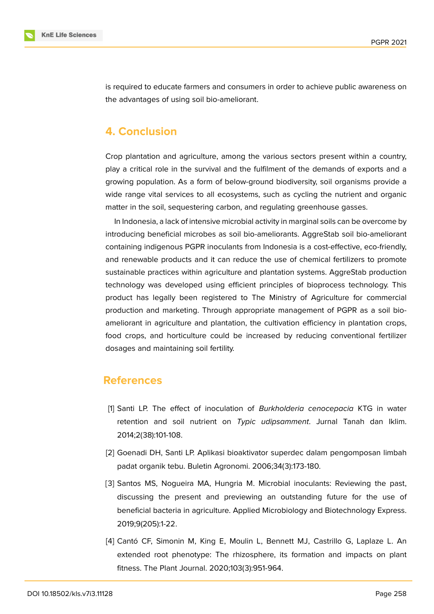

is required to educate farmers and consumers in order to achieve public awareness on the advantages of using soil bio-ameliorant.

# **4. Conclusion**

Crop plantation and agriculture, among the various sectors present within a country, play a critical role in the survival and the fulfilment of the demands of exports and a growing population. As a form of below-ground biodiversity, soil organisms provide a wide range vital services to all ecosystems, such as cycling the nutrient and organic matter in the soil, sequestering carbon, and regulating greenhouse gasses.

In Indonesia, a lack of intensive microbial activity in marginal soils can be overcome by introducing beneficial microbes as soil bio-ameliorants. AggreStab soil bio-ameliorant containing indigenous PGPR inoculants from Indonesia is a cost-effective, eco-friendly, and renewable products and it can reduce the use of chemical fertilizers to promote sustainable practices within agriculture and plantation systems. AggreStab production technology was developed using efficient principles of bioprocess technology. This product has legally been registered to The Ministry of Agriculture for commercial production and marketing. Through appropriate management of PGPR as a soil bioameliorant in agriculture and plantation, the cultivation efficiency in plantation crops, food crops, and horticulture could be increased by reducing conventional fertilizer dosages and maintaining soil fertility.

### **References**

- <span id="page-7-0"></span>[1] Santi LP. The effect of inoculation of *Burkholderia cenocepacia* KTG in water retention and soil nutrient on *Typic udipsamment*. Jurnal Tanah dan Iklim. 2014;2(38):101-108.
- <span id="page-7-1"></span>[2] Goenadi DH, Santi LP. Aplikasi bioaktivator superdec dalam pengomposan limbah padat organik tebu. Buletin Agronomi. 2006;34(3):173-180.
- <span id="page-7-2"></span>[3] Santos MS, Nogueira MA, Hungria M. Microbial inoculants: Reviewing the past, discussing the present and previewing an outstanding future for the use of beneficial bacteria in agriculture. Applied Microbiology and Biotechnology Express. 2019;9(205):1-22.
- <span id="page-7-3"></span>[4] Cantó CF, Simonin M, King E, Moulin L, Bennett MJ, Castrillo G, Laplaze L. An extended root phenotype: The rhizosphere, its formation and impacts on plant fitness. The Plant Journal. 2020;103(3):951-964.